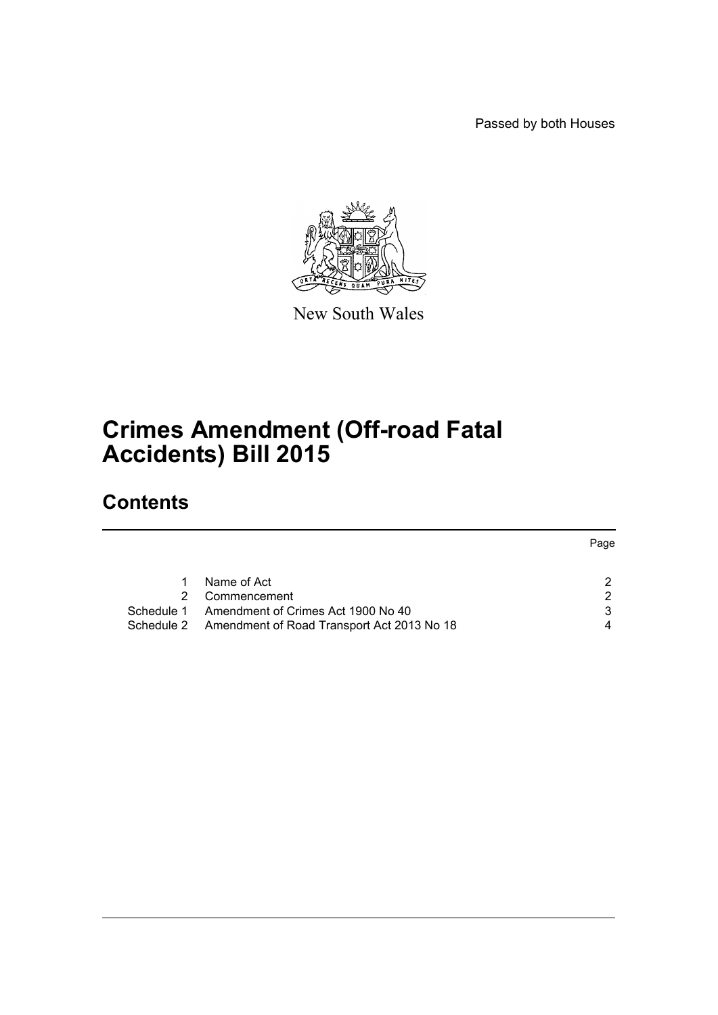Passed by both Houses



New South Wales

# **Crimes Amendment (Off-road Fatal Accidents) Bill 2015**

## **Contents**

|            |                                                       | Page |
|------------|-------------------------------------------------------|------|
|            | Name of Act                                           | 2    |
|            | Commencement                                          | 2    |
| Schedule 1 | Amendment of Crimes Act 1900 No 40                    | 3    |
|            | Schedule 2 Amendment of Road Transport Act 2013 No 18 | 4    |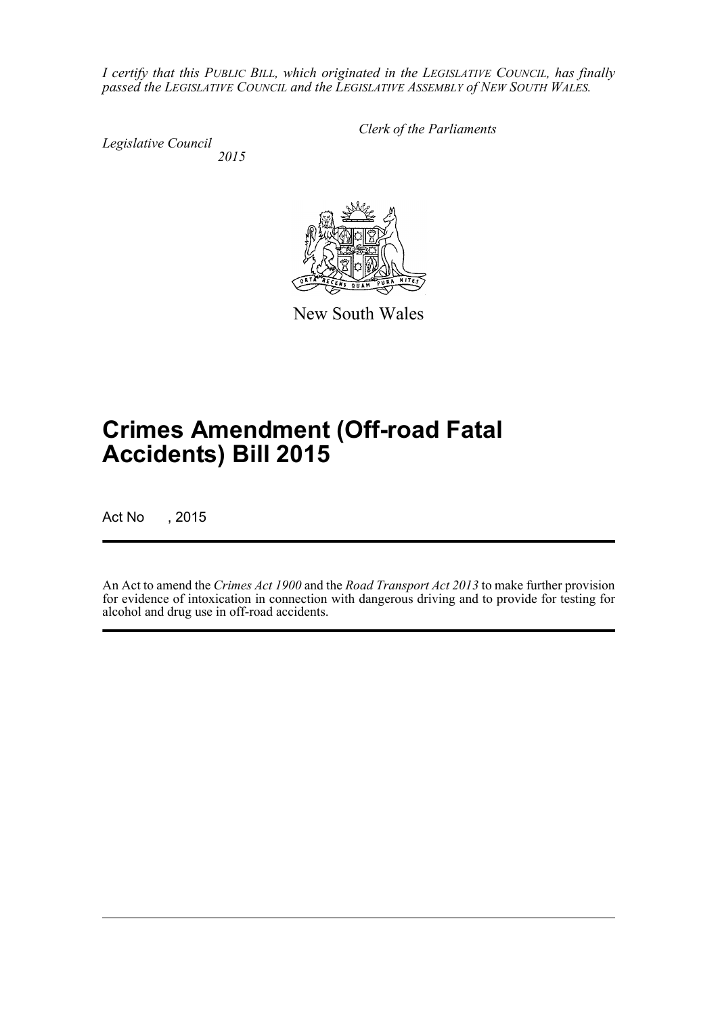*I certify that this PUBLIC BILL, which originated in the LEGISLATIVE COUNCIL, has finally passed the LEGISLATIVE COUNCIL and the LEGISLATIVE ASSEMBLY of NEW SOUTH WALES.*

*Legislative Council 2015* *Clerk of the Parliaments*

New South Wales

# **Crimes Amendment (Off-road Fatal Accidents) Bill 2015**

Act No , 2015

An Act to amend the *Crimes Act 1900* and the *Road Transport Act 2013* to make further provision for evidence of intoxication in connection with dangerous driving and to provide for testing for alcohol and drug use in off-road accidents.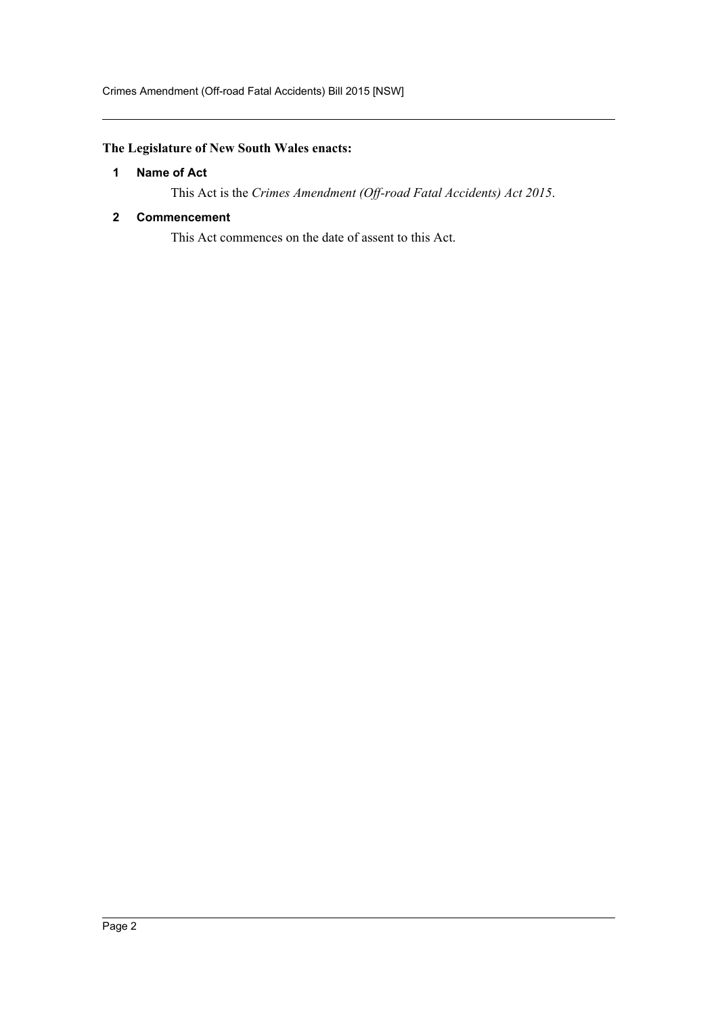### <span id="page-2-0"></span>**The Legislature of New South Wales enacts:**

### **1 Name of Act**

This Act is the *Crimes Amendment (Off-road Fatal Accidents) Act 2015*.

#### <span id="page-2-1"></span>**2 Commencement**

This Act commences on the date of assent to this Act.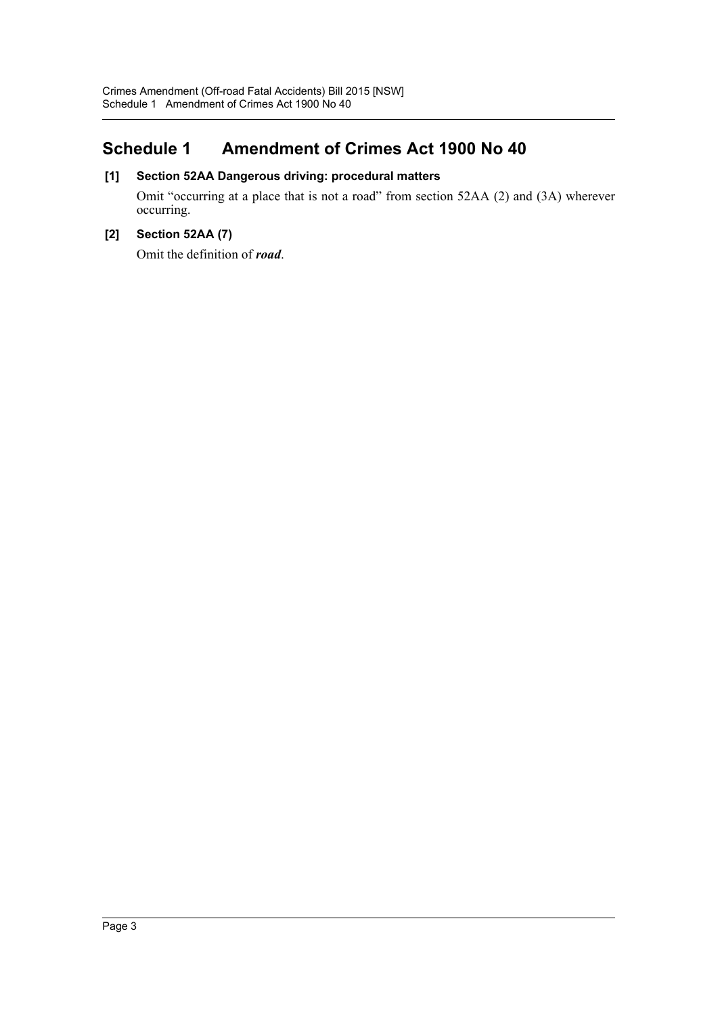### <span id="page-3-0"></span>**Schedule 1 Amendment of Crimes Act 1900 No 40**

### **[1] Section 52AA Dangerous driving: procedural matters**

Omit "occurring at a place that is not a road" from section 52AA (2) and (3A) wherever occurring.

### **[2] Section 52AA (7)**

Omit the definition of *road*.